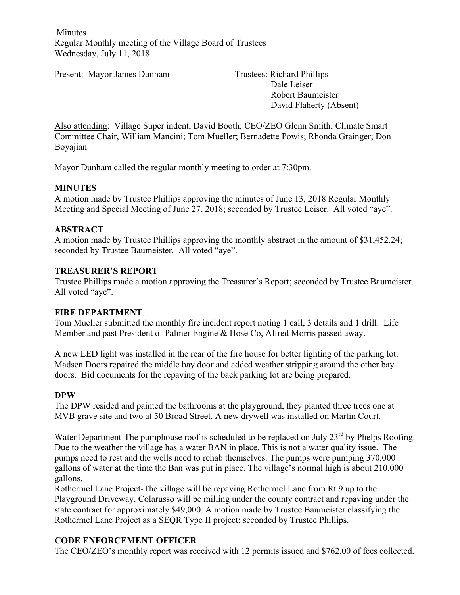Minutes Regular Monthly meeting of the Village Board of Trustees Wednesday, July 11, 2018

Present: Mayor James Dunham Trustees: Richard Phillips

Dale Leiser Robert Baumeister David Flaherty (Absent)

Also attending: Village Super indent, David Booth; CEO/ZEO Glenn Smith; Climate Smart Committee Chair, William Mancini; Tom Mueller; Bernadette Powis; Rhonda Grainger; Don Boyajian

Mayor Dunham called the regular monthly meeting to order at 7:30pm.

#### **MINUTES**

A motion made by Trustee Phillips approving the minutes of June 13, 2018 Regular Monthly Meeting and Special Meeting of June 27, 2018; seconded by Trustee Leiser. All voted "aye".

#### **ABSTRACT**

A motion made by Trustee Phillips approving the monthly abstract in the amount of \$31,452.24; seconded by Trustee Baumeister. All voted "aye".

#### **TREASURER'S REPORT**

Trustee Phillips made a motion approving the Treasurer's Report; seconded by Trustee Baumeister. All voted "aye".

#### **FIRE DEPARTMENT**

Tom Mueller submitted the monthly fire incident report noting 1 call, 3 details and 1 drill. Life Member and past President of Palmer Engine & Hose Co, Alfred Morris passed away.

A new LED light was installed in the rear of the fire house for better lighting of the parking lot. Madsen Doors repaired the middle bay door and added weather stripping around the other bay doors. Bid documents for the repaving of the back parking lot are being prepared.

#### **DPW**

The DPW resided and painted the bathrooms at the playground, they planted three trees one at MVB grave site and two at 50 Broad Street. A new drywell was installed on Martin Court.

Water Department-The pumphouse roof is scheduled to be replaced on July 23<sup>rd</sup> by Phelps Roofing. Due to the weather the village has a water BAN in place. This is not a water quality issue. The pumps need to rest and the wells need to rehab themselves. The pumps were pumping 370,000 gallons of water at the time the Ban was put in place. The village's normal high is about 210,000 gallons.

Rothermel Lane Project-The village will be repaving Rothermel Lane from Rt 9 up to the Playground Driveway. Colarusso will be milling under the county contract and repaving under the state contract for approximately \$49,000. A motion made by Trustee Baumeister classifying the Rothermel Lane Project as a SEQR Type II project; seconded by Trustee Phillips.

#### **CODE ENFORCEMENT OFFICER**

The CEO/ZEO's monthly report was received with 12 permits issued and \$762.00 of fees collected.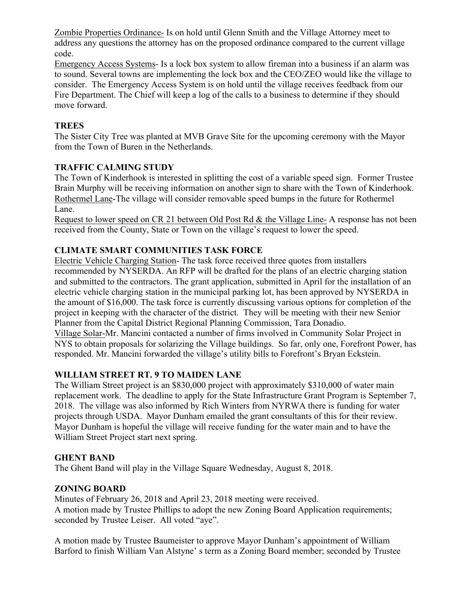Zombie Properties Ordinance- Is on hold until Glenn Smith and the Village Attorney meet to address any questions the attorney has on the proposed ordinance compared to the current village code.

Emergency Access Systems- Is a lock box system to allow fireman into a business if an alarm was to sound. Several towns are implementing the lock box and the CEO/ZEO would like the village to consider. The Emergency Access System is on hold until the village receives feedback from our Fire Department. The Chief will keep a log of the calls to a business to determine if they should move forward.

# **TREES**

The Sister City Tree was planted at MVB Grave Site for the upcoming ceremony with the Mayor from the Town of Buren in the Netherlands.

# **TRAFFIC CALMING STUDY**

The Town of Kinderhook is interested in splitting the cost of a variable speed sign. Former Trustee Brain Murphy will be receiving information on another sign to share with the Town of Kinderhook. Rothermel Lane-The village will consider removable speed bumps in the future for Rothermel Lane.

Request to lower speed on CR 21 between Old Post Rd & the Village Line- A response has not been received from the County, State or Town on the village's request to lower the speed.

# **CLIMATE SMART COMMUNITIES TASK FORCE**

Electric Vehicle Charging Station- The task force received three quotes from installers recommended by NYSERDA. An RFP will be drafted for the plans of an electric charging station and submitted to the contractors. The grant application, submitted in April for the installation of an electric vehicle charging station in the municipal parking lot, has been approved by NYSERDA in the amount of \$16,000. The task force is currently discussing various options for completion of the project in keeping with the character of the district. They will be meeting with their new Senior Planner from the Capital District Regional Planning Commission, Tara Donadio. Village Solar-Mr. Mancini contacted a number of firms involved in Community Solar Project in NYS to obtain proposals for solarizing the Village buildings. So far, only one, Forefront Power, has responded. Mr. Mancini forwarded the village's utility bills to Forefront's Bryan Eckstein.

## **WILLIAM STREET RT. 9 TO MAIDEN LANE**

The William Street project is an \$830,000 project with approximately \$310,000 of water main replacement work. The deadline to apply for the State Infrastructure Grant Program is September 7, 2018. The village was also informed by Rich Winters from NYRWA there is funding for water projects through USDA. Mayor Dunham emailed the grant consultants of this for their review. Mayor Dunham is hopeful the village will receive funding for the water main and to have the William Street Project start next spring.

## **GHENT BAND**

The Ghent Band will play in the Village Square Wednesday, August 8, 2018.

## **ZONING BOARD**

Minutes of February 26, 2018 and April 23, 2018 meeting were received. A motion made by Trustee Phillips to adopt the new Zoning Board Application requirements; seconded by Trustee Leiser. All voted "aye".

A motion made by Trustee Baumeister to approve Mayor Dunham's appointment of William Barford to finish William Van Alstyne' s term as a Zoning Board member; seconded by Trustee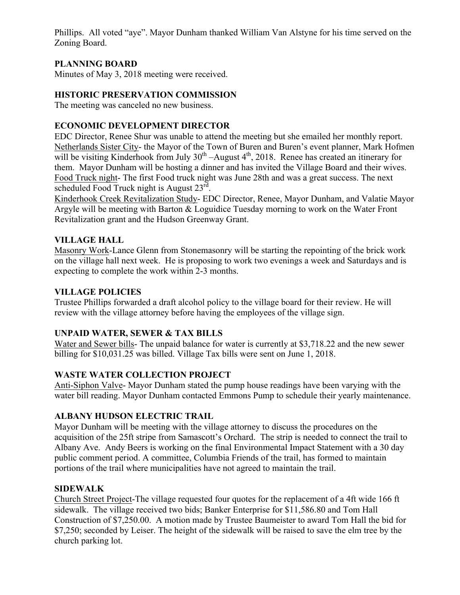Phillips. All voted "aye". Mayor Dunham thanked William Van Alstyne for his time served on the Zoning Board.

# **PLANNING BOARD**

Minutes of May 3, 2018 meeting were received.

## **HISTORIC PRESERVATION COMMISSION**

The meeting was canceled no new business.

## **ECONOMIC DEVELOPMENT DIRECTOR**

EDC Director, Renee Shur was unable to attend the meeting but she emailed her monthly report. Netherlands Sister City- the Mayor of the Town of Buren and Buren's event planner, Mark Hofmen will be visiting Kinderhook from July  $30<sup>th</sup>$  –August  $4<sup>th</sup>$ , 2018. Renee has created an itinerary for them. Mayor Dunham will be hosting a dinner and has invited the Village Board and their wives. Food Truck night- The first Food truck night was June 28th and was a great success. The next scheduled Food Truck night is August 23<sup>rd</sup>.

Kinderhook Creek Revitalization Study- EDC Director, Renee, Mayor Dunham, and Valatie Mayor Argyle will be meeting with Barton & Loguidice Tuesday morning to work on the Water Front Revitalization grant and the Hudson Greenway Grant.

## **VILLAGE HALL**

Masonry Work-Lance Glenn from Stonemasonry will be starting the repointing of the brick work on the village hall next week. He is proposing to work two evenings a week and Saturdays and is expecting to complete the work within 2-3 months.

## **VILLAGE POLICIES**

Trustee Phillips forwarded a draft alcohol policy to the village board for their review. He will review with the village attorney before having the employees of the village sign.

## **UNPAID WATER, SEWER & TAX BILLS**

Water and Sewer bills- The unpaid balance for water is currently at \$3,718.22 and the new sewer billing for \$10,031.25 was billed. Village Tax bills were sent on June 1, 2018.

## **WASTE WATER COLLECTION PROJECT**

Anti-Siphon Valve- Mayor Dunham stated the pump house readings have been varying with the water bill reading. Mayor Dunham contacted Emmons Pump to schedule their yearly maintenance.

## **ALBANY HUDSON ELECTRIC TRAIL**

Mayor Dunham will be meeting with the village attorney to discuss the procedures on the acquisition of the 25ft stripe from Samascott's Orchard. The strip is needed to connect the trail to Albany Ave. Andy Beers is working on the final Environmental Impact Statement with a 30 day public comment period. A committee, Columbia Friends of the trail, has formed to maintain portions of the trail where municipalities have not agreed to maintain the trail.

## **SIDEWALK**

Church Street Project-The village requested four quotes for the replacement of a 4ft wide 166 ft sidewalk. The village received two bids; Banker Enterprise for \$11,586.80 and Tom Hall Construction of \$7,250.00. A motion made by Trustee Baumeister to award Tom Hall the bid for \$7,250; seconded by Leiser. The height of the sidewalk will be raised to save the elm tree by the church parking lot.